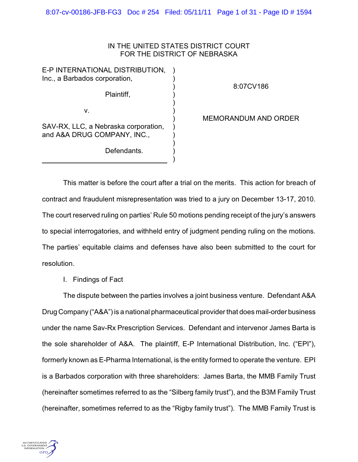# IN THE UNITED STATES DISTRICT COURT FOR THE DISTRICT OF NEBRASKA

) ) ) ) ) ) ) ) ) ) ) )

E-P INTERNATIONAL DISTRIBUTION, Inc., a Barbados corporation,

Plaintiff,

8:07CV186

v.

SAV-RX, LLC, a Nebraska corporation, and A&A DRUG COMPANY, INC.,

Defendants.

MEMORANDUM AND ORDER

This matter is before the court after a trial on the merits. This action for breach of contract and fraudulent misrepresentation was tried to a jury on December 13-17, 2010. The court reserved ruling on parties' Rule 50 motions pending receipt of the jury's answers to special interrogatories, and withheld entry of judgment pending ruling on the motions. The parties' equitable claims and defenses have also been submitted to the court for resolution.

I. Findings of Fact

The dispute between the parties involves a joint business venture. Defendant A&A Drug Company ("A&A") is a national pharmaceutical provider that does mail-order business under the name Sav-Rx Prescription Services. Defendant and intervenor James Barta is the sole shareholder of A&A. The plaintiff, E-P International Distribution, Inc. ("EPI"), formerly known as E-Pharma International, is the entity formed to operate the venture. EPI is a Barbados corporation with three shareholders: James Barta, the MMB Family Trust (hereinafter sometimes referred to as the "Silberg family trust"), and the B3M Family Trust (hereinafter, sometimes referred to as the "Rigby family trust"). The MMB Family Trust is

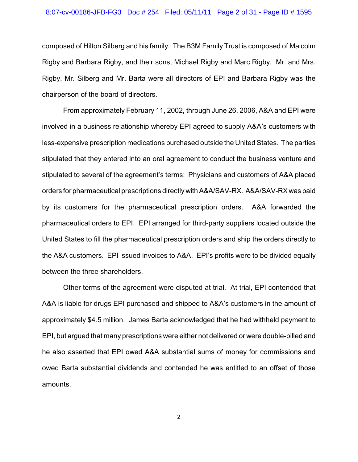### 8:07-cv-00186-JFB-FG3 Doc # 254 Filed: 05/11/11 Page 2 of 31 - Page ID # 1595

composed of Hilton Silberg and his family. The B3M Family Trust is composed of Malcolm Rigby and Barbara Rigby, and their sons, Michael Rigby and Marc Rigby. Mr. and Mrs. Rigby, Mr. Silberg and Mr. Barta were all directors of EPI and Barbara Rigby was the chairperson of the board of directors.

From approximately February 11, 2002, through June 26, 2006, A&A and EPI were involved in a business relationship whereby EPI agreed to supply A&A's customers with less-expensive prescription medications purchased outside the United States. The parties stipulated that they entered into an oral agreement to conduct the business venture and stipulated to several of the agreement's terms: Physicians and customers of A&A placed orders for pharmaceutical prescriptions directly with A&A/SAV-RX. A&A/SAV-RX was paid by its customers for the pharmaceutical prescription orders. A&A forwarded the pharmaceutical orders to EPI. EPI arranged for third-party suppliers located outside the United States to fill the pharmaceutical prescription orders and ship the orders directly to the A&A customers. EPI issued invoices to A&A. EPI's profits were to be divided equally between the three shareholders.

Other terms of the agreement were disputed at trial. At trial, EPI contended that A&A is liable for drugs EPI purchased and shipped to A&A's customers in the amount of approximately \$4.5 million. James Barta acknowledged that he had withheld payment to EPI, but argued that many prescriptions were either not delivered or were double-billed and he also asserted that EPI owed A&A substantial sums of money for commissions and owed Barta substantial dividends and contended he was entitled to an offset of those amounts.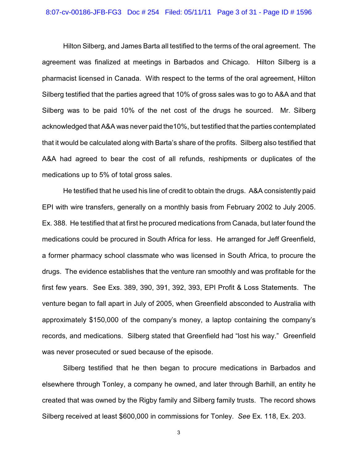### 8:07-cv-00186-JFB-FG3 Doc # 254 Filed: 05/11/11 Page 3 of 31 - Page ID # 1596

Hilton Silberg, and James Barta all testified to the terms of the oral agreement. The agreement was finalized at meetings in Barbados and Chicago. Hilton Silberg is a pharmacist licensed in Canada. With respect to the terms of the oral agreement, Hilton Silberg testified that the parties agreed that 10% of gross sales was to go to A&A and that Silberg was to be paid 10% of the net cost of the drugs he sourced. Mr. Silberg acknowledged that A&A was never paid the10%, but testified that the parties contemplated that it would be calculated along with Barta's share of the profits. Silberg also testified that A&A had agreed to bear the cost of all refunds, reshipments or duplicates of the medications up to 5% of total gross sales.

He testified that he used his line of credit to obtain the drugs. A&A consistently paid EPI with wire transfers, generally on a monthly basis from February 2002 to July 2005. Ex. 388. He testified that at first he procured medications from Canada, but later found the medications could be procured in South Africa for less. He arranged for Jeff Greenfield, a former pharmacy school classmate who was licensed in South Africa, to procure the drugs. The evidence establishes that the venture ran smoothly and was profitable for the first few years. See Exs. 389, 390, 391, 392, 393, EPI Profit & Loss Statements. The venture began to fall apart in July of 2005, when Greenfield absconded to Australia with approximately \$150,000 of the company's money, a laptop containing the company's records, and medications. Silberg stated that Greenfield had "lost his way." Greenfield was never prosecuted or sued because of the episode.

Silberg testified that he then began to procure medications in Barbados and elsewhere through Tonley, a company he owned, and later through Barhill, an entity he created that was owned by the Rigby family and Silberg family trusts. The record shows Silberg received at least \$600,000 in commissions for Tonley. *See* Ex. 118, Ex. 203.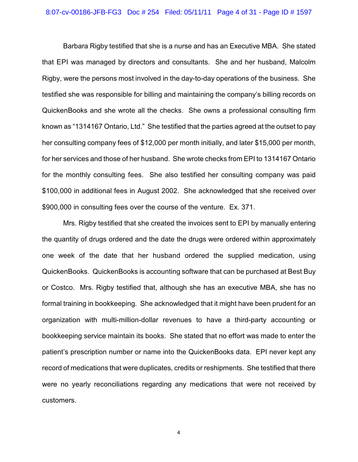#### 8:07-cv-00186-JFB-FG3 Doc # 254 Filed: 05/11/11 Page 4 of 31 - Page ID # 1597

Barbara Rigby testified that she is a nurse and has an Executive MBA. She stated that EPI was managed by directors and consultants. She and her husband, Malcolm Rigby, were the persons most involved in the day-to-day operations of the business. She testified she was responsible for billing and maintaining the company's billing records on QuickenBooks and she wrote all the checks. She owns a professional consulting firm known as "1314167 Ontario, Ltd." She testified that the parties agreed at the outset to pay her consulting company fees of \$12,000 per month initially, and later \$15,000 per month, for her services and those of her husband. She wrote checks from EPI to 1314167 Ontario for the monthly consulting fees. She also testified her consulting company was paid \$100,000 in additional fees in August 2002. She acknowledged that she received over \$900,000 in consulting fees over the course of the venture. Ex. 371.

Mrs. Rigby testified that she created the invoices sent to EPI by manually entering the quantity of drugs ordered and the date the drugs were ordered within approximately one week of the date that her husband ordered the supplied medication, using QuickenBooks. QuickenBooks is accounting software that can be purchased at Best Buy or Costco. Mrs. Rigby testified that, although she has an executive MBA, she has no formal training in bookkeeping. She acknowledged that it might have been prudent for an organization with multi-million-dollar revenues to have a third-party accounting or bookkeeping service maintain its books. She stated that no effort was made to enter the patient's prescription number or name into the QuickenBooks data. EPI never kept any record of medications that were duplicates, credits or reshipments. She testified that there were no yearly reconciliations regarding any medications that were not received by customers.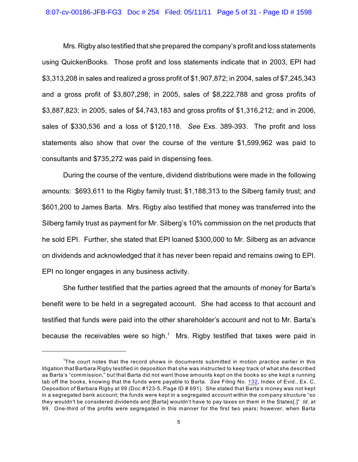### 8:07-cv-00186-JFB-FG3 Doc # 254 Filed: 05/11/11 Page 5 of 31 - Page ID # 1598

Mrs. Rigby also testified that she prepared the company's profit and loss statements using QuickenBooks. Those profit and loss statements indicate that in 2003, EPI had \$3,313,208 in sales and realized a gross profit of \$1,907,872; in 2004, sales of \$7,245,343 and a gross profit of \$3,807,298; in 2005, sales of \$8,222,788 and gross profits of \$3,887,823; in 2005, sales of \$4,743,183 and gross profits of \$1,316,212; and in 2006, sales of \$330,536 and a loss of \$120,118. *See* Exs. 389-393. The profit and loss statements also show that over the course of the venture \$1,599,962 was paid to consultants and \$735,272 was paid in dispensing fees.

During the course of the venture, dividend distributions were made in the following amounts: \$693,611 to the Rigby family trust; \$1,188,313 to the Silberg family trust; and \$601,200 to James Barta. Mrs. Rigby also testified that money was transferred into the Silberg family trust as payment for Mr. Silberg's 10% commission on the net products that he sold EPI. Further, she stated that EPI loaned \$300,000 to Mr. Silberg as an advance on dividends and acknowledged that it has never been repaid and remains owing to EPI. EPI no longer engages in any business activity.

She further testified that the parties agreed that the amounts of money for Barta's benefit were to be held in a segregated account. She had access to that account and testified that funds were paid into the other shareholder's account and not to Mr. Barta's because the receivables were so high.<sup>1</sup> Mrs. Rigby testified that taxes were paid in

 $T$  The court notes that the record shows in documents submitted in motion practice earlier in this litigation that Barbara Rigby testified in deposition that she was instructed to keep track of what she described as Barta's "commission," but that Barta did not want those amounts kept on the books so she kept a running tab off the books, knowing that the funds were payable to Barta. *See* Filing No. [132](http://ecf.ned.uscourts.gov/doc1/11301686375), Index of Evid., Ex. C, Deposition of Barbara Rigby at 99 (Doc #123-5, Page ID # 691). She stated that Barta's money was not kept in a segregated bank account; the funds were kept in a segregated account within the company structure "so they wouldn't be considered dividends and [Barta] wouldn't have to pay taxes on them in the States[.]" *Id.* at 99. One-third of the profits were segregated in this manner for the first two years; however, when Barta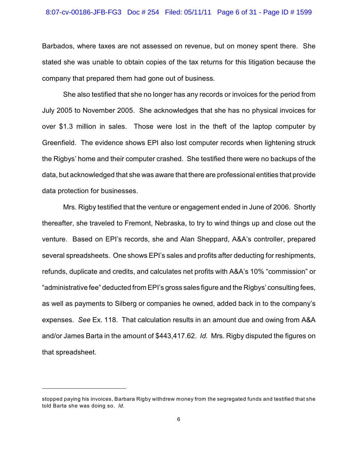### 8:07-cv-00186-JFB-FG3 Doc # 254 Filed: 05/11/11 Page 6 of 31 - Page ID # 1599

Barbados, where taxes are not assessed on revenue, but on money spent there. She stated she was unable to obtain copies of the tax returns for this litigation because the company that prepared them had gone out of business.

She also testified that she no longer has any records or invoices for the period from July 2005 to November 2005. She acknowledges that she has no physical invoices for over \$1.3 million in sales. Those were lost in the theft of the laptop computer by Greenfield. The evidence shows EPI also lost computer records when lightening struck the Rigbys' home and their computer crashed. She testified there were no backups of the data, but acknowledged that she was aware that there are professional entities that provide data protection for businesses.

Mrs. Rigby testified that the venture or engagement ended in June of 2006. Shortly thereafter, she traveled to Fremont, Nebraska, to try to wind things up and close out the venture. Based on EPI's records, she and Alan Sheppard, A&A's controller, prepared several spreadsheets. One shows EPI's sales and profits after deducting for reshipments, refunds, duplicate and credits, and calculates net profits with A&A's 10% "commission" or "administrative fee" deducted from EPI's gross sales figure and the Rigbys' consulting fees, as well as payments to Silberg or companies he owned, added back in to the company's expenses. *See* Ex. 118. That calculation results in an amount due and owing from A&A and/or James Barta in the amount of \$443,417.62. *Id.* Mrs. Rigby disputed the figures on that spreadsheet.

stopped paying his invoices, Barbara Rigby withdrew money from the segregated funds and testified that she told Barta she was doing so. *Id.*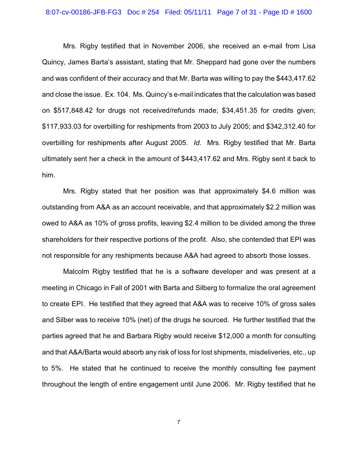### 8:07-cv-00186-JFB-FG3 Doc # 254 Filed: 05/11/11 Page 7 of 31 - Page ID # 1600

Mrs. Rigby testified that in November 2006, she received an e-mail from Lisa Quincy, James Barta's assistant, stating that Mr. Sheppard had gone over the numbers and was confident of their accuracy and that Mr. Barta was willing to pay the \$443,417.62 and close the issue. Ex. 104. Ms. Quincy's e-mail indicates that the calculation was based on \$517,848.42 for drugs not received/refunds made; \$34,451.35 for credits given; \$117,933.03 for overbilling for reshipments from 2003 to July 2005; and \$342,312.40 for overbilling for reshipments after August 2005. *Id.* Mrs. Rigby testified that Mr. Barta ultimately sent her a check in the amount of \$443,417.62 and Mrs. Rigby sent it back to him.

Mrs. Rigby stated that her position was that approximately \$4.6 million was outstanding from A&A as an account receivable, and that approximately \$2.2 million was owed to A&A as 10% of gross profits, leaving \$2.4 million to be divided among the three shareholders for their respective portions of the profit. Also, she contended that EPI was not responsible for any reshipments because A&A had agreed to absorb those losses.

Malcolm Rigby testified that he is a software developer and was present at a meeting in Chicago in Fall of 2001 with Barta and Silberg to formalize the oral agreement to create EPI. He testified that they agreed that A&A was to receive 10% of gross sales and Silber was to receive 10% (net) of the drugs he sourced. He further testified that the parties agreed that he and Barbara Rigby would receive \$12,000 a month for consulting and that A&A/Barta would absorb any risk of loss for lost shipments, misdeliveries, etc., up to 5%. He stated that he continued to receive the monthly consulting fee payment throughout the length of entire engagement until June 2006. Mr. Rigby testified that he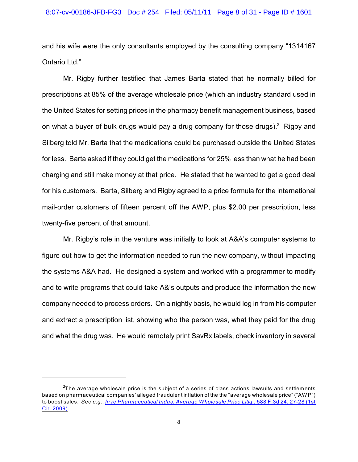and his wife were the only consultants employed by the consulting company "1314167 Ontario Ltd."

Mr. Rigby further testified that James Barta stated that he normally billed for prescriptions at 85% of the average wholesale price (which an industry standard used in the United States for setting prices in the pharmacy benefit management business, based on what a buyer of bulk drugs would pay a drug company for those drugs).<sup>2</sup> Rigby and Silberg told Mr. Barta that the medications could be purchased outside the United States for less. Barta asked if they could get the medications for 25% less than what he had been charging and still make money at that price. He stated that he wanted to get a good deal for his customers. Barta, Silberg and Rigby agreed to a price formula for the international mail-order customers of fifteen percent off the AWP, plus \$2.00 per prescription, less twenty-five percent of that amount.

Mr. Rigby's role in the venture was initially to look at A&A's computer systems to figure out how to get the information needed to run the new company, without impacting the systems A&A had. He designed a system and worked with a programmer to modify and to write programs that could take A&'s outputs and produce the information the new company needed to process orders. On a nightly basis, he would log in from his computer and extract a prescription list, showing who the person was, what they paid for the drug and what the drug was. He would remotely print SavRx labels, check inventory in several

 $2$ The average wholesale price is the subject of a series of class actions lawsuits and settlements based on pharmaceutical companies' alleged fraudulent inflation of the the "average wholesale price" ("AW P") to boost sales. *See e.g.*, *[In re Pharmaceutical Indus. Average Wholesale Price Litig.,](http://www.westlaw.com/find/default.wl?rs=CLWP3.0&vr=2.0&cite=588+F.3d+24)* 588 F.3d 24, 27-28 (1st [Cir. 2009\)](http://www.westlaw.com/find/default.wl?rs=CLWP3.0&vr=2.0&cite=588+F.3d+24).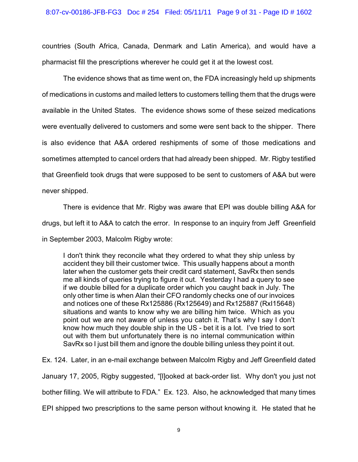countries (South Africa, Canada, Denmark and Latin America), and would have a pharmacist fill the prescriptions wherever he could get it at the lowest cost.

The evidence shows that as time went on, the FDA increasingly held up shipments of medications in customs and mailed letters to customers telling them that the drugs were available in the United States. The evidence shows some of these seized medications were eventually delivered to customers and some were sent back to the shipper. There is also evidence that A&A ordered reshipments of some of those medications and sometimes attempted to cancel orders that had already been shipped. Mr. Rigby testified that Greenfield took drugs that were supposed to be sent to customers of A&A but were never shipped.

There is evidence that Mr. Rigby was aware that EPI was double billing A&A for drugs, but left it to A&A to catch the error. In response to an inquiry from Jeff Greenfield in September 2003, Malcolm Rigby wrote:

I don't think they reconcile what they ordered to what they ship unless by accident they bill their customer twice. This usually happens about a month later when the customer gets their credit card statement, SavRx then sends me all kinds of queries trying to figure it out. Yesterday I had a query to see if we double billed for a duplicate order which you caught back in July. The only other time is when Alan their CFO randomly checks one of our invoices and notices one of these Rx125886 (Rx125649) and Rx125887 (RxI15648) situations and wants to know why we are billing him twice. Which as you point out we are not aware of unless you catch it. That's why I say I don't know how much they double ship in the US - bet it is a lot. I've tried to sort out with them but unfortunately there is no internal communication within SavRx so I just bill them and ignore the double billing unless they point it out.

Ex. 124. Later, in an e-mail exchange between Malcolm Rigby and Jeff Greenfield dated January 17, 2005, Rigby suggested, "[l]ooked at back-order list. Why don't you just not bother filling. We will attribute to FDA." Ex. 123. Also, he acknowledged that many times EPI shipped two prescriptions to the same person without knowing it. He stated that he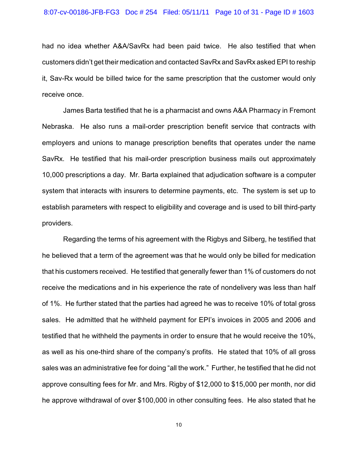had no idea whether A&A/SavRx had been paid twice. He also testified that when customers didn't get their medication and contacted SavRx and SavRx asked EPI to reship it, Sav-Rx would be billed twice for the same prescription that the customer would only receive once.

James Barta testified that he is a pharmacist and owns A&A Pharmacy in Fremont Nebraska. He also runs a mail-order prescription benefit service that contracts with employers and unions to manage prescription benefits that operates under the name SavRx. He testified that his mail-order prescription business mails out approximately 10,000 prescriptions a day. Mr. Barta explained that adjudication software is a computer system that interacts with insurers to determine payments, etc. The system is set up to establish parameters with respect to eligibility and coverage and is used to bill third-party providers.

Regarding the terms of his agreement with the Rigbys and Silberg, he testified that he believed that a term of the agreement was that he would only be billed for medication that his customers received. He testified that generally fewer than 1% of customers do not receive the medications and in his experience the rate of nondelivery was less than half of 1%. He further stated that the parties had agreed he was to receive 10% of total gross sales. He admitted that he withheld payment for EPI's invoices in 2005 and 2006 and testified that he withheld the payments in order to ensure that he would receive the 10%, as well as his one-third share of the company's profits. He stated that 10% of all gross sales was an administrative fee for doing "all the work." Further, he testified that he did not approve consulting fees for Mr. and Mrs. Rigby of \$12,000 to \$15,000 per month, nor did he approve withdrawal of over \$100,000 in other consulting fees. He also stated that he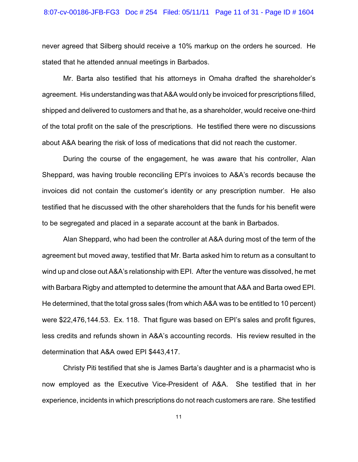### 8:07-cv-00186-JFB-FG3 Doc # 254 Filed: 05/11/11 Page 11 of 31 - Page ID # 1604

never agreed that Silberg should receive a 10% markup on the orders he sourced. He stated that he attended annual meetings in Barbados.

Mr. Barta also testified that his attorneys in Omaha drafted the shareholder's agreement. His understanding was that A&A would only be invoiced for prescriptions filled, shipped and delivered to customers and that he, as a shareholder, would receive one-third of the total profit on the sale of the prescriptions. He testified there were no discussions about A&A bearing the risk of loss of medications that did not reach the customer.

During the course of the engagement, he was aware that his controller, Alan Sheppard, was having trouble reconciling EPI's invoices to A&A's records because the invoices did not contain the customer's identity or any prescription number. He also testified that he discussed with the other shareholders that the funds for his benefit were to be segregated and placed in a separate account at the bank in Barbados.

Alan Sheppard, who had been the controller at A&A during most of the term of the agreement but moved away, testified that Mr. Barta asked him to return as a consultant to wind up and close out A&A's relationship with EPI. After the venture was dissolved, he met with Barbara Rigby and attempted to determine the amount that A&A and Barta owed EPI. He determined, that the total gross sales (from which A&A was to be entitled to 10 percent) were \$22,476,144.53. Ex. 118. That figure was based on EPI's sales and profit figures, less credits and refunds shown in A&A's accounting records. His review resulted in the determination that A&A owed EPI \$443,417.

Christy Piti testified that she is James Barta's daughter and is a pharmacist who is now employed as the Executive Vice-President of A&A. She testified that in her experience, incidents in which prescriptions do not reach customers are rare. She testified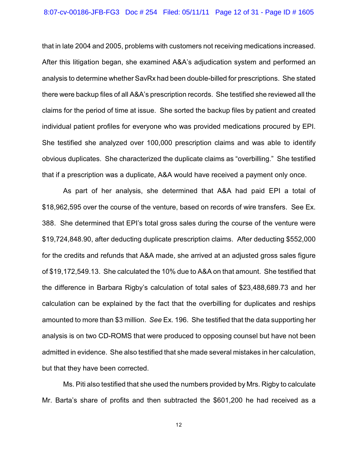that in late 2004 and 2005, problems with customers not receiving medications increased. After this litigation began, she examined A&A's adjudication system and performed an analysis to determine whether SavRx had been double-billed for prescriptions. She stated there were backup files of all A&A's prescription records. She testified she reviewed all the claims for the period of time at issue. She sorted the backup files by patient and created individual patient profiles for everyone who was provided medications procured by EPI. She testified she analyzed over 100,000 prescription claims and was able to identify obvious duplicates. She characterized the duplicate claims as "overbilling." She testified that if a prescription was a duplicate, A&A would have received a payment only once.

As part of her analysis, she determined that A&A had paid EPI a total of \$18,962,595 over the course of the venture, based on records of wire transfers. See Ex. 388. She determined that EPI's total gross sales during the course of the venture were \$19,724,848.90, after deducting duplicate prescription claims. After deducting \$552,000 for the credits and refunds that A&A made, she arrived at an adjusted gross sales figure of \$19,172,549.13. She calculated the 10% due to A&A on that amount. She testified that the difference in Barbara Rigby's calculation of total sales of \$23,488,689.73 and her calculation can be explained by the fact that the overbilling for duplicates and reships amounted to more than \$3 million. *See* Ex. 196. She testified that the data supporting her analysis is on two CD-ROMS that were produced to opposing counsel but have not been admitted in evidence. She also testified that she made several mistakes in her calculation, but that they have been corrected.

Ms. Piti also testified that she used the numbers provided by Mrs. Rigby to calculate Mr. Barta's share of profits and then subtracted the \$601,200 he had received as a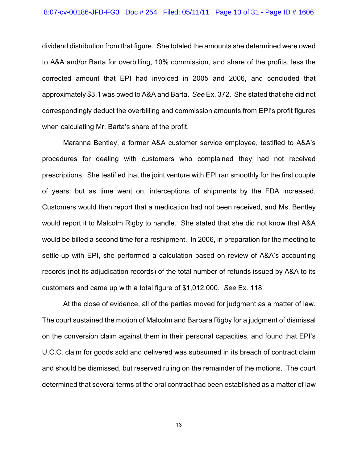dividend distribution from that figure. She totaled the amounts she determined were owed to A&A and/or Barta for overbilling, 10% commission, and share of the profits, less the corrected amount that EPI had invoiced in 2005 and 2006, and concluded that approximately \$3.1 was owed to A&A and Barta. *See* Ex. 372. She stated that she did not correspondingly deduct the overbilling and commission amounts from EPI's profit figures when calculating Mr. Barta's share of the profit.

Maranna Bentley, a former A&A customer service employee, testified to A&A's procedures for dealing with customers who complained they had not received prescriptions. She testified that the joint venture with EPI ran smoothly for the first couple of years, but as time went on, interceptions of shipments by the FDA increased. Customers would then report that a medication had not been received, and Ms. Bentley would report it to Malcolm Rigby to handle. She stated that she did not know that A&A would be billed a second time for a reshipment. In 2006, in preparation for the meeting to settle-up with EPI, she performed a calculation based on review of A&A's accounting records (not its adjudication records) of the total number of refunds issued by A&A to its customers and came up with a total figure of \$1,012,000. *See* Ex. 118.

At the close of evidence, all of the parties moved for judgment as a matter of law. The court sustained the motion of Malcolm and Barbara Rigby for a judgment of dismissal on the conversion claim against them in their personal capacities, and found that EPI's U.C.C. claim for goods sold and delivered was subsumed in its breach of contract claim and should be dismissed, but reserved ruling on the remainder of the motions. The court determined that several terms of the oral contract had been established as a matter of law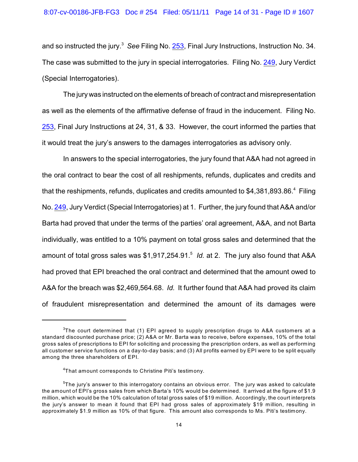and so instructed the jury.<sup>3</sup> See Filing No. <u>[253](http://ecf.ned.uscourts.gov/doc1/11302168100)</u>, Final Jury Instructions, Instruction No. 34. The case was submitted to the jury in special interrogatories. Filing No. [249](http://ecf.ned.uscourts.gov/doc1/11302167545), Jury Verdict (Special Interrogatories).

The jury was instructed on the elements of breach of contract and misrepresentation as well as the elements of the affirmative defense of fraud in the inducement. Filing No. [253](http://ecf.ned.uscourts.gov/doc1/11302168100), Final Jury Instructions at 24, 31, & 33. However, the court informed the parties that it would treat the jury's answers to the damages interrogatories as advisory only.

In answers to the special interrogatories, the jury found that A&A had not agreed in the oral contract to bear the cost of all reshipments, refunds, duplicates and credits and that the reshipments, refunds, duplicates and credits amounted to  $$4,381,893.86<sup>4</sup>$  Filing No. [249](http://ecf.ned.uscourts.gov/doc1/11302167545), Jury Verdict (Special Interrogatories) at 1. Further, the jury found that A&A and/or Barta had proved that under the terms of the parties' oral agreement, A&A, and not Barta individually, was entitled to a 10% payment on total gross sales and determined that the amount of total gross sales was \$1,917,254.91.<sup>5</sup> *Id.* at 2. The jury also found that A&A had proved that EPI breached the oral contract and determined that the amount owed to A&A for the breach was \$2,469,564.68. *Id.* It further found that A&A had proved its claim of fraudulent misrepresentation and determined the amount of its damages were

 $3$ The court determined that (1) EPI agreed to supply prescription drugs to A&A customers at a standard discounted purchase price; (2) A&A or Mr. Barta was to receive, before expenses, 10% of the total gross sales of prescriptions to EPI for soliciting and processing the prescription orders, as well as performing all customer service functions on a day-to-day basis; and (3) All profits earned by EPI were to be split equally among the three shareholders of EPI.

 ${}^{4}$ That amount corresponds to Christine Piti's testimony.

 $5$ The jury's answer to this interrogatory contains an obvious error. The jury was asked to calculate the amount of EPI's gross sales from which Barta's 10% would be determined. It arrived at the figure of \$1.9 million, which would be the 10% calculation of total gross sales of \$19 million. Accordingly, the court interprets the jury's answer to mean it found that EPI had gross sales of approximately \$19 million, resulting in approximately \$1.9 million as 10% of that figure. This amount also corresponds to Ms. Piti's testimony.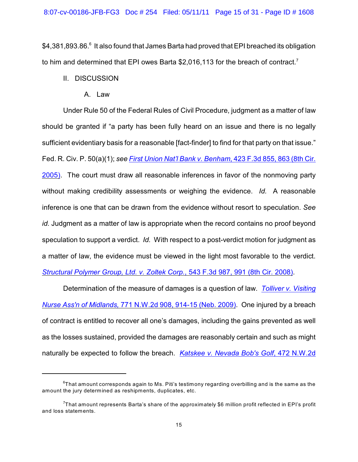\$4,381,893,86.<sup>6</sup> It also found that James Barta had proved that EPI breached its obligation to him and determined that EPI owes Barta \$2,016,113 for the breach of contract.<sup>7</sup>

- II. DISCUSSION
	- A. Law

Under Rule 50 of the Federal Rules of Civil Procedure, judgment as a matter of law should be granted if "a party has been fully heard on an issue and there is no legally sufficient evidentiary basis for a reasonable [fact-finder] to find for that party on that issue." Fed. R. Civ. P. 50(a)(1); *see [First Union Nat'l Bank v. Benham](http://www.westlaw.com/find/default.wl?rs=CLWP3.0&vr=2.0&cite=423+F.3d+855)*, 423 F.3d 855, 863 (8th Cir. [2005\)](http://www.westlaw.com/find/default.wl?rs=CLWP3.0&vr=2.0&cite=423+F.3d+855). The court must draw all reasonable inferences in favor of the nonmoving party without making credibility assessments or weighing the evidence. *Id.* A reasonable inference is one that can be drawn from the evidence without resort to speculation. *See id.* Judgment as a matter of law is appropriate when the record contains no proof beyond speculation to support a verdict. *Id.* With respect to a post-verdict motion for judgment as a matter of law, the evidence must be viewed in the light most favorable to the verdict. *[Structural Polymer Group, Ltd. v. Zoltek Corp.](http://www.westlaw.com/find/default.wl?rs=CLWP3.0&vr=2.0&cite=543+F.3d+987)*, 543 F.3d 987, 991 (8th Cir. 2008).

Determination of the measure of damages is a question of law. *[Tolliver v. Visiting](http://www.westlaw.com/find/default.wl?rs=CLWP3.0&vr=2.0&cite=771+N.W.2d+908) Nurse Ass'n of Midlands,* [771 N.W.2d 908, 914-15 \(Neb. 2009\)](http://www.westlaw.com/find/default.wl?rs=CLWP3.0&vr=2.0&cite=771+N.W.2d+908). One injured by a breach of contract is entitled to recover all one's damages, including the gains prevented as well as the losses sustained, provided the damages are reasonably certain and such as might naturally be expected to follow the breach. *[Katskee v. Nevada Bob's Golf](http://www.westlaw.com/find/default.wl?rs=CLWP3.0&vr=2.0&cite=472+N.W.2d+372)*, 472 N.W.2d

 $6$ That amount corresponds again to Ms. Piti's testimony regarding overbilling and is the same as the amount the jury determined as reshipments, duplicates, etc.

<sup>&</sup>lt;sup>7</sup>That amount represents Barta's share of the approximately \$6 million profit reflected in EPI's profit and loss statements.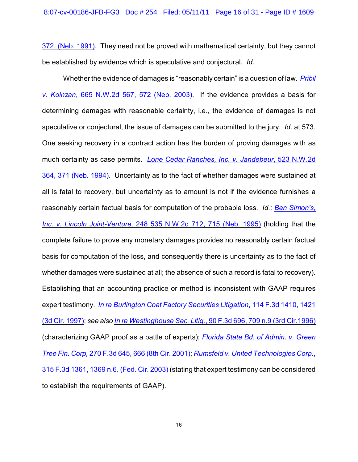372, (Neb. 1991). They need not be proved with mathematical certainty, but they cannot be established by evidence which is speculative and conjectural. *Id.* 

Whether the evidence of damages is "reasonably certain" is a question of law. *[Pribil](http://www.westlaw.com/find/default.wl?rs=CLWP3.0&vr=2.0&cite=665+N.W.2d+567) v. Koinzan*[, 665 N.W.2d 567, 572 \(Neb. 2003\)](http://www.westlaw.com/find/default.wl?rs=CLWP3.0&vr=2.0&cite=665+N.W.2d+567). If the evidence provides a basis for determining damages with reasonable certainty, i.e., the evidence of damages is not speculative or conjectural, the issue of damages can be submitted to the jury. *Id.* at 573. One seeking recovery in a contract action has the burden of proving damages with as much certainty as case permits. *[Lone Cedar Ranches, Inc. v. Jandebeur](http://www.westlaw.com/find/default.wl?rs=CLWP3.0&vr=2.0&cite=523+N.W.2d+364)*, 523 N.W.2d [364, 371 \(Neb. 1994\)](http://www.westlaw.com/find/default.wl?rs=CLWP3.0&vr=2.0&cite=523+N.W.2d+364). Uncertainty as to the fact of whether damages were sustained at all is fatal to recovery, but uncertainty as to amount is not if the evidence furnishes a reasonably certain factual basis for computation of the probable loss. *Id.; [Ben Simon's,](http://www.westlaw.com/find/default.wl?rs=CLWP3.0&vr=2.0&cite=535+N.W.2d+712) Inc. v. Lincoln Joint-Venture,* [248 535 N.W.2d 712, 715 \(Neb. 1995\)](http://www.westlaw.com/find/default.wl?rs=CLWP3.0&vr=2.0&cite=535+N.W.2d+712) (holding that the complete failure to prove any monetary damages provides no reasonably certain factual basis for computation of the loss, and consequently there is uncertainty as to the fact of whether damages were sustained at all; the absence of such a record is fatal to recovery). Establishing that an accounting practice or method is inconsistent with GAAP requires expert testimony. *[In re Burlington Coat Factory Securities Litigation](http://www.westlaw.com/find/default.wl?rs=CLWP3.0&vr=2.0&cite=114+F.3d+1410)*, 114 F.3d 1410, 1421 [\(3d Cir. 1997\)](http://www.westlaw.com/find/default.wl?rs=CLWP3.0&vr=2.0&cite=114+F.3d+1410); *see also In re Westinghouse Sec. Litig.*[, 90 F.3d 696, 709 n.9 \(3rd Cir.1996\)](http://www.westlaw.com/find/default.wl?rs=CLWP3.0&vr=2.0&cite=90+F.3d+696) (characterizing GAAP proof as a battle of experts); *[Florida State Bd. of Admin. v. Green](http://www.westlaw.com/find/default.wl?rs=CLWP3.0&vr=2.0&cite=270+F.3d+645) Tree Fin. Corp,* [270 F.3d 645, 666 \(8th Cir. 2001\)](http://www.westlaw.com/find/default.wl?rs=CLWP3.0&vr=2.0&cite=270+F.3d+645); *[Rumsfeld v. United Technologies Corp.](http://www.westlaw.com/find/default.wl?rs=CLWP3.0&vr=2.0&cite=315+F.3d+1361)*, [315 F.3d 1361, 1369 n.6. \(Fed. Cir. 2003\)](http://www.westlaw.com/find/default.wl?rs=CLWP3.0&vr=2.0&cite=315+F.3d+1361) (stating that expert testimony can be considered to establish the requirements of GAAP).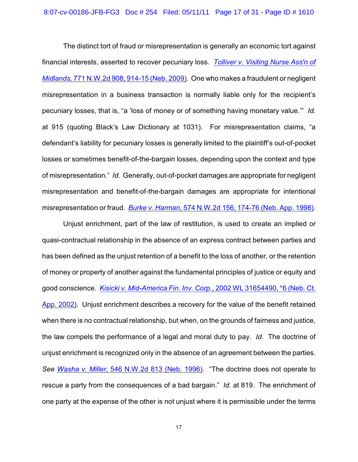The distinct tort of fraud or misrepresentation is generally an economic tort against financial interests, asserted to recover pecuniary loss. *[Tolliver v. Visiting Nurse Ass'n of](http://www.westlaw.com/find/default.wl?rs=CLWP3.0&vr=2.0&cite=771+N.W.2d+908) Midlands,* [771 N.W.2d 908, 914-15 \(Neb. 2009\)](http://www.westlaw.com/find/default.wl?rs=CLWP3.0&vr=2.0&cite=771+N.W.2d+908). One who makes a fraudulent or negligent misrepresentation in a business transaction is normally liable only for the recipient's pecuniary losses, that is, "a 'loss of money or of something having monetary value.'" *Id.* at 915 (quoting Black's Law Dictionary at 1031). For misrepresentation claims, "a defendant's liability for pecuniary losses is generally limited to the plaintiff's out-of-pocket losses or sometimes benefit-of-the-bargain losses, depending upon the context and type of misrepresentation." *Id.* Generally, out-of-pocket damages are appropriate for negligent misrepresentation and benefit-of-the-bargain damages are appropriate for intentional misrepresentation or fraud. *Burke v. Harman*[, 574 N.W.2d 156, 174-76 \(Neb. App. 1998\)](http://www.westlaw.com/find/default.wl?rs=CLWP3.0&vr=2.0&cite=574+N.W.2d+156).

Unjust enrichment, part of the law of restitution, is used to create an implied or quasi-contractual relationship in the absence of an express contract between parties and has been defined as the unjust retention of a benefit to the loss of another, or the retention of money or property of another against the fundamental principles of justice or equity and good conscience. *[Kisicki v. Mid-America Fin. Inv. Corp.](http://www.westlaw.com/find/default.wl?rs=CLWP3.0&vr=2.0&cite=2002+WL+31654490)*, 2002 WL 31654490, \*6 (Neb. Ct. [App. 2002\)](http://www.westlaw.com/find/default.wl?rs=CLWP3.0&vr=2.0&cite=2002+WL+31654490). Unjust enrichment describes a recovery for the value of the benefit retained when there is no contractual relationship, but when, on the grounds of fairness and justice, the law compels the performance of a legal and moral duty to pay. *Id.* The doctrine of unjust enrichment is recognized only in the absence of an agreement between the parties. *See Washa v. Miller*[, 546 N.W.2d 813 \(Neb. 1996\)](http://www.westlaw.com/find/default.wl?rs=CLWP3.0&vr=2.0&cite=546+N.W.2d+813). "The doctrine does not operate to rescue a party from the consequences of a bad bargain." *Id.* at 819. The enrichment of one party at the expense of the other is not unjust where it is permissible under the terms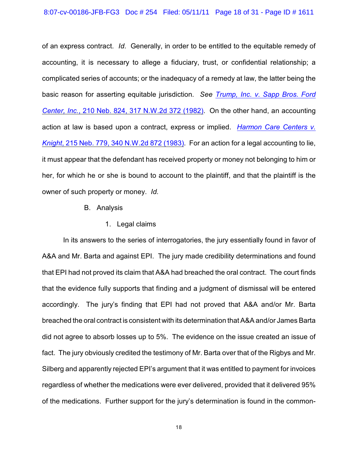### 8:07-cv-00186-JFB-FG3 Doc # 254 Filed: 05/11/11 Page 18 of 31 - Page ID # 1611

of an express contract. *Id.* Generally, in order to be entitled to the equitable remedy of accounting, it is necessary to allege a fiduciary, trust, or confidential relationship; a complicated series of accounts; or the inadequacy of a remedy at law, the latter being the basic reason for asserting equitable jurisdiction. *See [Trump, Inc. v. Sapp Bros. Ford](http://www.westlaw.com/find/default.wl?rs=CLWP3.0&vr=2.0&cite=210+Neb.+824) Center, Inc.*[, 210 Neb. 824, 317 N.W.2d 372 \(1982\)](http://www.westlaw.com/find/default.wl?rs=CLWP3.0&vr=2.0&cite=210+Neb.+824). On the other hand, an accounting action at law is based upon a contract, express or implied. *[Harmon Care Centers v.](http://www.westlaw.com/find/default.wl?rs=CLWP3.0&vr=2.0&cite=215+Neb.+779) Knight*[, 215 Neb. 779, 340 N.W.2d 872 \(1983\)](http://www.westlaw.com/find/default.wl?rs=CLWP3.0&vr=2.0&cite=215+Neb.+779). For an action for a legal accounting to lie, it must appear that the defendant has received property or money not belonging to him or her, for which he or she is bound to account to the plaintiff, and that the plaintiff is the owner of such property or money. *Id.*

### B. Analysis

1. Legal claims

In its answers to the series of interrogatories, the jury essentially found in favor of A&A and Mr. Barta and against EPI. The jury made credibility determinations and found that EPI had not proved its claim that A&A had breached the oral contract. The court finds that the evidence fully supports that finding and a judgment of dismissal will be entered accordingly. The jury's finding that EPI had not proved that A&A and/or Mr. Barta breached the oral contract is consistent with its determination that A&A and/or James Barta did not agree to absorb losses up to 5%. The evidence on the issue created an issue of fact. The jury obviously credited the testimony of Mr. Barta over that of the Rigbys and Mr. Silberg and apparently rejected EPI's argument that it was entitled to payment for invoices regardless of whether the medications were ever delivered, provided that it delivered 95% of the medications. Further support for the jury's determination is found in the common-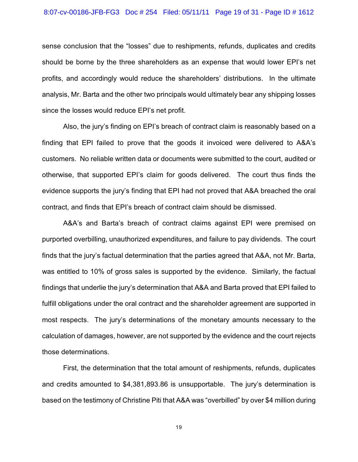### 8:07-cv-00186-JFB-FG3 Doc # 254 Filed: 05/11/11 Page 19 of 31 - Page ID # 1612

sense conclusion that the "losses" due to reshipments, refunds, duplicates and credits should be borne by the three shareholders as an expense that would lower EPI's net profits, and accordingly would reduce the shareholders' distributions. In the ultimate analysis, Mr. Barta and the other two principals would ultimately bear any shipping losses since the losses would reduce EPI's net profit.

Also, the jury's finding on EPI's breach of contract claim is reasonably based on a finding that EPI failed to prove that the goods it invoiced were delivered to A&A's customers. No reliable written data or documents were submitted to the court, audited or otherwise, that supported EPI's claim for goods delivered. The court thus finds the evidence supports the jury's finding that EPI had not proved that A&A breached the oral contract, and finds that EPI's breach of contract claim should be dismissed.

A&A's and Barta's breach of contract claims against EPI were premised on purported overbilling, unauthorized expenditures, and failure to pay dividends. The court finds that the jury's factual determination that the parties agreed that A&A, not Mr. Barta, was entitled to 10% of gross sales is supported by the evidence. Similarly, the factual findings that underlie the jury's determination that A&A and Barta proved that EPI failed to fulfill obligations under the oral contract and the shareholder agreement are supported in most respects. The jury's determinations of the monetary amounts necessary to the calculation of damages, however, are not supported by the evidence and the court rejects those determinations.

First, the determination that the total amount of reshipments, refunds, duplicates and credits amounted to \$4,381,893.86 is unsupportable. The jury's determination is based on the testimony of Christine Piti that A&A was "overbilled" by over \$4 million during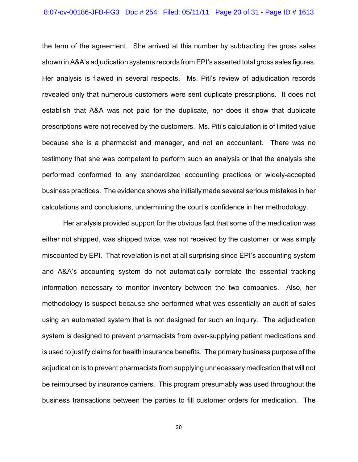### 8:07-cv-00186-JFB-FG3 Doc # 254 Filed: 05/11/11 Page 20 of 31 - Page ID # 1613

the term of the agreement. She arrived at this number by subtracting the gross sales shown in A&A's adjudication systems records from EPI's asserted total gross sales figures. Her analysis is flawed in several respects. Ms. Piti's review of adjudication records revealed only that numerous customers were sent duplicate prescriptions. It does not establish that A&A was not paid for the duplicate, nor does it show that duplicate prescriptions were not received by the customers. Ms. Piti's calculation is of limited value because she is a pharmacist and manager, and not an accountant. There was no testimony that she was competent to perform such an analysis or that the analysis she performed conformed to any standardized accounting practices or widely-accepted business practices. The evidence shows she initially made several serious mistakes in her calculations and conclusions, undermining the court's confidence in her methodology.

Her analysis provided support for the obvious fact that some of the medication was either not shipped, was shipped twice, was not received by the customer, or was simply miscounted by EPI. That revelation is not at all surprising since EPI's accounting system and A&A's accounting system do not automatically correlate the essential tracking information necessary to monitor inventory between the two companies. Also, her methodology is suspect because she performed what was essentially an audit of sales using an automated system that is not designed for such an inquiry. The adjudication system is designed to prevent pharmacists from over-supplying patient medications and is used to justify claims for health insurance benefits. The primary business purpose of the adjudication is to prevent pharmacists from supplying unnecessary medication that will not be reimbursed by insurance carriers. This program presumably was used throughout the business transactions between the parties to fill customer orders for medication. The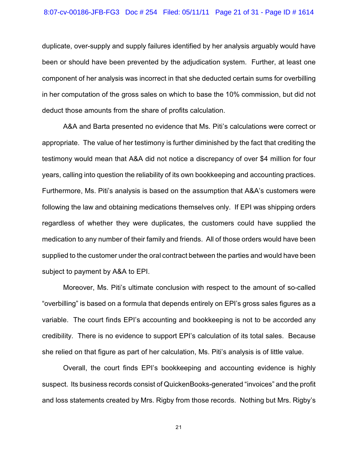### 8:07-cv-00186-JFB-FG3 Doc # 254 Filed: 05/11/11 Page 21 of 31 - Page ID # 1614

duplicate, over-supply and supply failures identified by her analysis arguably would have been or should have been prevented by the adjudication system. Further, at least one component of her analysis was incorrect in that she deducted certain sums for overbilling in her computation of the gross sales on which to base the 10% commission, but did not deduct those amounts from the share of profits calculation.

A&A and Barta presented no evidence that Ms. Piti's calculations were correct or appropriate. The value of her testimony is further diminished by the fact that crediting the testimony would mean that A&A did not notice a discrepancy of over \$4 million for four years, calling into question the reliability of its own bookkeeping and accounting practices. Furthermore, Ms. Piti's analysis is based on the assumption that A&A's customers were following the law and obtaining medications themselves only. If EPI was shipping orders regardless of whether they were duplicates, the customers could have supplied the medication to any number of their family and friends. All of those orders would have been supplied to the customer under the oral contract between the parties and would have been subject to payment by A&A to EPI.

Moreover, Ms. Piti's ultimate conclusion with respect to the amount of so-called "overbilling" is based on a formula that depends entirely on EPI's gross sales figures as a variable. The court finds EPI's accounting and bookkeeping is not to be accorded any credibility. There is no evidence to support EPI's calculation of its total sales. Because she relied on that figure as part of her calculation, Ms. Piti's analysis is of little value.

Overall, the court finds EPI's bookkeeping and accounting evidence is highly suspect. Its business records consist of QuickenBooks-generated "invoices" and the profit and loss statements created by Mrs. Rigby from those records. Nothing but Mrs. Rigby's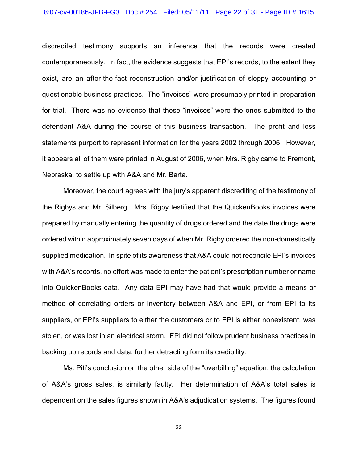#### 8:07-cv-00186-JFB-FG3 Doc # 254 Filed: 05/11/11 Page 22 of 31 - Page ID # 1615

discredited testimony supports an inference that the records were created contemporaneously. In fact, the evidence suggests that EPI's records, to the extent they exist, are an after-the-fact reconstruction and/or justification of sloppy accounting or questionable business practices. The "invoices" were presumably printed in preparation for trial. There was no evidence that these "invoices" were the ones submitted to the defendant A&A during the course of this business transaction. The profit and loss statements purport to represent information for the years 2002 through 2006. However, it appears all of them were printed in August of 2006, when Mrs. Rigby came to Fremont, Nebraska, to settle up with A&A and Mr. Barta.

Moreover, the court agrees with the jury's apparent discrediting of the testimony of the Rigbys and Mr. Silberg. Mrs. Rigby testified that the QuickenBooks invoices were prepared by manually entering the quantity of drugs ordered and the date the drugs were ordered within approximately seven days of when Mr. Rigby ordered the non-domestically supplied medication. In spite of its awareness that A&A could not reconcile EPI's invoices with A&A's records, no effort was made to enter the patient's prescription number or name into QuickenBooks data. Any data EPI may have had that would provide a means or method of correlating orders or inventory between A&A and EPI, or from EPI to its suppliers, or EPI's suppliers to either the customers or to EPI is either nonexistent, was stolen, or was lost in an electrical storm. EPI did not follow prudent business practices in backing up records and data, further detracting form its credibility.

Ms. Piti's conclusion on the other side of the "overbilling" equation, the calculation of A&A's gross sales, is similarly faulty. Her determination of A&A's total sales is dependent on the sales figures shown in A&A's adjudication systems. The figures found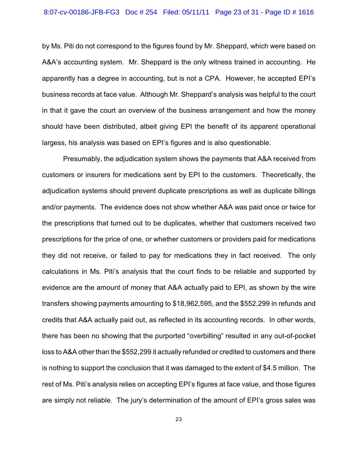### 8:07-cv-00186-JFB-FG3 Doc # 254 Filed: 05/11/11 Page 23 of 31 - Page ID # 1616

by Ms. Piti do not correspond to the figures found by Mr. Sheppard, which were based on A&A's accounting system. Mr. Sheppard is the only witness trained in accounting. He apparently has a degree in accounting, but is not a CPA. However, he accepted EPI's business records at face value. Although Mr. Sheppard's analysis was helpful to the court in that it gave the court an overview of the business arrangement and how the money should have been distributed, albeit giving EPI the benefit of its apparent operational largess, his analysis was based on EPI's figures and is also questionable.

Presumably, the adjudication system shows the payments that A&A received from customers or insurers for medications sent by EPI to the customers. Theoretically, the adjudication systems should prevent duplicate prescriptions as well as duplicate billings and/or payments. The evidence does not show whether A&A was paid once or twice for the prescriptions that turned out to be duplicates, whether that customers received two prescriptions for the price of one, or whether customers or providers paid for medications they did not receive, or failed to pay for medications they in fact received. The only calculations in Ms. Piti's analysis that the court finds to be reliable and supported by evidence are the amount of money that A&A actually paid to EPI, as shown by the wire transfers showing payments amounting to \$18,962,595, and the \$552,299 in refunds and credits that A&A actually paid out, as reflected in its accounting records. In other words, there has been no showing that the purported "overbilling" resulted in any out-of-pocket loss to A&A other than the \$552,299 it actually refunded or credited to customers and there is nothing to support the conclusion that it was damaged to the extent of \$4.5 million. The rest of Ms. Piti's analysis relies on accepting EPI's figures at face value, and those figures are simply not reliable. The jury's determination of the amount of EPI's gross sales was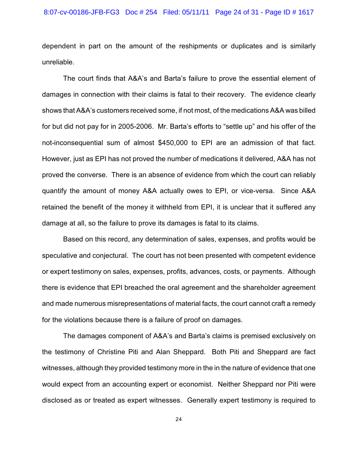### 8:07-cv-00186-JFB-FG3 Doc # 254 Filed: 05/11/11 Page 24 of 31 - Page ID # 1617

dependent in part on the amount of the reshipments or duplicates and is similarly unreliable.

The court finds that A&A's and Barta's failure to prove the essential element of damages in connection with their claims is fatal to their recovery. The evidence clearly shows that A&A's customers received some, if not most, of the medications A&A was billed for but did not pay for in 2005-2006. Mr. Barta's efforts to "settle up" and his offer of the not-inconsequential sum of almost \$450,000 to EPI are an admission of that fact. However, just as EPI has not proved the number of medications it delivered, A&A has not proved the converse. There is an absence of evidence from which the court can reliably quantify the amount of money A&A actually owes to EPI, or vice-versa. Since A&A retained the benefit of the money it withheld from EPI, it is unclear that it suffered any damage at all, so the failure to prove its damages is fatal to its claims.

Based on this record, any determination of sales, expenses, and profits would be speculative and conjectural. The court has not been presented with competent evidence or expert testimony on sales, expenses, profits, advances, costs, or payments. Although there is evidence that EPI breached the oral agreement and the shareholder agreement and made numerous misrepresentations of material facts, the court cannot craft a remedy for the violations because there is a failure of proof on damages.

The damages component of A&A's and Barta's claims is premised exclusively on the testimony of Christine Piti and Alan Sheppard. Both Piti and Sheppard are fact witnesses, although they provided testimony more in the in the nature of evidence that one would expect from an accounting expert or economist. Neither Sheppard nor Piti were disclosed as or treated as expert witnesses. Generally expert testimony is required to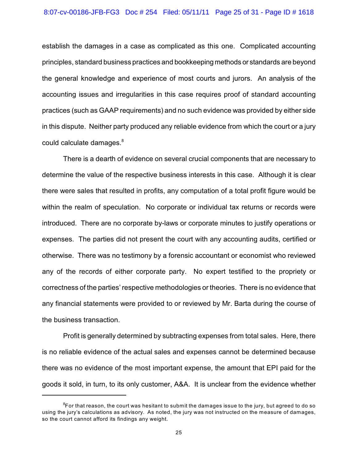### 8:07-cv-00186-JFB-FG3 Doc # 254 Filed: 05/11/11 Page 25 of 31 - Page ID # 1618

establish the damages in a case as complicated as this one. Complicated accounting principles, standard business practices and bookkeeping methods or standards are beyond the general knowledge and experience of most courts and jurors. An analysis of the accounting issues and irregularities in this case requires proof of standard accounting practices (such as GAAP requirements) and no such evidence was provided by either side in this dispute. Neither party produced any reliable evidence from which the court or a jury could calculate damages.<sup>8</sup>

There is a dearth of evidence on several crucial components that are necessary to determine the value of the respective business interests in this case. Although it is clear there were sales that resulted in profits, any computation of a total profit figure would be within the realm of speculation. No corporate or individual tax returns or records were introduced. There are no corporate by-laws or corporate minutes to justify operations or expenses. The parties did not present the court with any accounting audits, certified or otherwise. There was no testimony by a forensic accountant or economist who reviewed any of the records of either corporate party. No expert testified to the propriety or correctness of the parties' respective methodologies or theories. There is no evidence that any financial statements were provided to or reviewed by Mr. Barta during the course of the business transaction.

Profit is generally determined by subtracting expenses from total sales. Here, there is no reliable evidence of the actual sales and expenses cannot be determined because there was no evidence of the most important expense, the amount that EPI paid for the goods it sold, in turn, to its only customer, A&A. It is unclear from the evidence whether

 ${}^{8}$ For that reason, the court was hesitant to submit the damages issue to the jury, but agreed to do so using the jury's calculations as advisory. As noted, the jury was not instructed on the measure of damages, so the court cannot afford its findings any weight.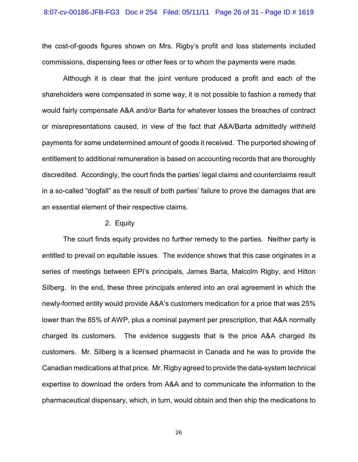#### 8:07-cv-00186-JFB-FG3 Doc # 254 Filed: 05/11/11 Page 26 of 31 - Page ID # 1619

the cost-of-goods figures shown on Mrs. Rigby's profit and loss statements included commissions, dispensing fees or other fees or to whom the payments were made.

Although it is clear that the joint venture produced a profit and each of the shareholders were compensated in some way, it is not possible to fashion a remedy that would fairly compensate A&A and/or Barta for whatever losses the breaches of contract or misrepresentations caused, in view of the fact that A&A/Barta admittedly withheld payments for some undetermined amount of goods it received. The purported showing of entitlement to additional remuneration is based on accounting records that are thoroughly discredited. Accordingly, the court finds the parties' legal claims and counterclaims result in a so-called "dogfall" as the result of both parties' failure to prove the damages that are an essential element of their respective claims.

## 2. Equity

The court finds equity provides no further remedy to the parties. Neither party is entitled to prevail on equitable issues. The evidence shows that this case originates in a series of meetings between EPI's principals, James Barta, Malcolm Rigby, and Hilton Silberg. In the end, these three principals entered into an oral agreement in which the newly-formed entity would provide A&A's customers medication for a price that was 25% lower than the 85% of AWP, plus a nominal payment per prescription, that A&A normally charged its customers. The evidence suggests that is the price A&A charged its customers. Mr. Silberg is a licensed pharmacist in Canada and he was to provide the Canadian medications at that price. Mr. Rigby agreed to provide the data-system technical expertise to download the orders from A&A and to communicate the information to the pharmaceutical dispensary, which, in turn, would obtain and then ship the medications to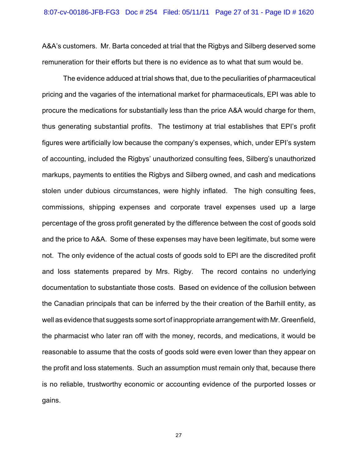A&A's customers. Mr. Barta conceded at trial that the Rigbys and Silberg deserved some remuneration for their efforts but there is no evidence as to what that sum would be.

The evidence adduced at trial shows that, due to the peculiarities of pharmaceutical pricing and the vagaries of the international market for pharmaceuticals, EPI was able to procure the medications for substantially less than the price A&A would charge for them, thus generating substantial profits. The testimony at trial establishes that EPI's profit figures were artificially low because the company's expenses, which, under EPI's system of accounting, included the Rigbys' unauthorized consulting fees, Silberg's unauthorized markups, payments to entities the Rigbys and Silberg owned, and cash and medications stolen under dubious circumstances, were highly inflated. The high consulting fees, commissions, shipping expenses and corporate travel expenses used up a large percentage of the gross profit generated by the difference between the cost of goods sold and the price to A&A. Some of these expenses may have been legitimate, but some were not. The only evidence of the actual costs of goods sold to EPI are the discredited profit and loss statements prepared by Mrs. Rigby. The record contains no underlying documentation to substantiate those costs. Based on evidence of the collusion between the Canadian principals that can be inferred by the their creation of the Barhill entity, as well as evidence that suggests some sort of inappropriate arrangement with Mr. Greenfield, the pharmacist who later ran off with the money, records, and medications, it would be reasonable to assume that the costs of goods sold were even lower than they appear on the profit and loss statements. Such an assumption must remain only that, because there is no reliable, trustworthy economic or accounting evidence of the purported losses or gains.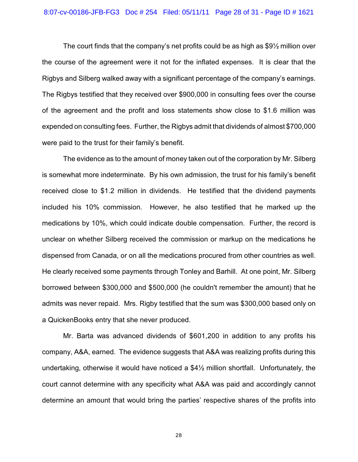#### 8:07-cv-00186-JFB-FG3 Doc # 254 Filed: 05/11/11 Page 28 of 31 - Page ID # 1621

The court finds that the company's net profits could be as high as \$9½ million over the course of the agreement were it not for the inflated expenses. It is clear that the Rigbys and Silberg walked away with a significant percentage of the company's earnings. The Rigbys testified that they received over \$900,000 in consulting fees over the course of the agreement and the profit and loss statements show close to \$1.6 million was expended on consulting fees. Further, the Rigbys admit that dividends of almost \$700,000 were paid to the trust for their family's benefit.

The evidence as to the amount of money taken out of the corporation by Mr. Silberg is somewhat more indeterminate. By his own admission, the trust for his family's benefit received close to \$1.2 million in dividends. He testified that the dividend payments included his 10% commission. However, he also testified that he marked up the medications by 10%, which could indicate double compensation. Further, the record is unclear on whether Silberg received the commission or markup on the medications he dispensed from Canada, or on all the medications procured from other countries as well. He clearly received some payments through Tonley and Barhill. At one point, Mr. Silberg borrowed between \$300,000 and \$500,000 (he couldn't remember the amount) that he admits was never repaid. Mrs. Rigby testified that the sum was \$300,000 based only on a QuickenBooks entry that she never produced.

Mr. Barta was advanced dividends of \$601,200 in addition to any profits his company, A&A, earned. The evidence suggests that A&A was realizing profits during this undertaking, otherwise it would have noticed a \$4½ million shortfall. Unfortunately, the court cannot determine with any specificity what A&A was paid and accordingly cannot determine an amount that would bring the parties' respective shares of the profits into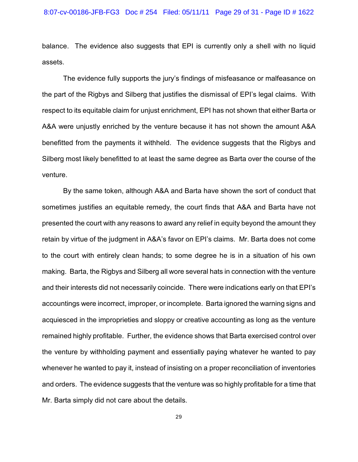balance. The evidence also suggests that EPI is currently only a shell with no liquid assets.

The evidence fully supports the jury's findings of misfeasance or malfeasance on the part of the Rigbys and Silberg that justifies the dismissal of EPI's legal claims. With respect to its equitable claim for unjust enrichment, EPI has not shown that either Barta or A&A were unjustly enriched by the venture because it has not shown the amount A&A benefitted from the payments it withheld. The evidence suggests that the Rigbys and Silberg most likely benefitted to at least the same degree as Barta over the course of the venture.

By the same token, although A&A and Barta have shown the sort of conduct that sometimes justifies an equitable remedy, the court finds that A&A and Barta have not presented the court with any reasons to award any relief in equity beyond the amount they retain by virtue of the judgment in A&A's favor on EPI's claims. Mr. Barta does not come to the court with entirely clean hands; to some degree he is in a situation of his own making. Barta, the Rigbys and Silberg all wore several hats in connection with the venture and their interests did not necessarily coincide. There were indications early on that EPI's accountings were incorrect, improper, or incomplete. Barta ignored the warning signs and acquiesced in the improprieties and sloppy or creative accounting as long as the venture remained highly profitable. Further, the evidence shows that Barta exercised control over the venture by withholding payment and essentially paying whatever he wanted to pay whenever he wanted to pay it, instead of insisting on a proper reconciliation of inventories and orders. The evidence suggests that the venture was so highly profitable for a time that Mr. Barta simply did not care about the details.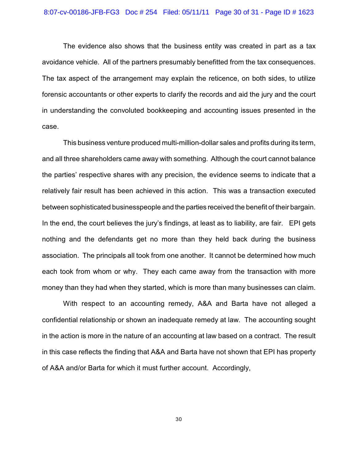The evidence also shows that the business entity was created in part as a tax avoidance vehicle. All of the partners presumably benefitted from the tax consequences. The tax aspect of the arrangement may explain the reticence, on both sides, to utilize forensic accountants or other experts to clarify the records and aid the jury and the court in understanding the convoluted bookkeeping and accounting issues presented in the case.

This business venture produced multi-million-dollar sales and profits during its term, and all three shareholders came away with something. Although the court cannot balance the parties' respective shares with any precision, the evidence seems to indicate that a relatively fair result has been achieved in this action. This was a transaction executed between sophisticated businesspeople and the parties received the benefit of their bargain. In the end, the court believes the jury's findings, at least as to liability, are fair. EPI gets nothing and the defendants get no more than they held back during the business association. The principals all took from one another. It cannot be determined how much each took from whom or why. They each came away from the transaction with more money than they had when they started, which is more than many businesses can claim.

With respect to an accounting remedy, A&A and Barta have not alleged a confidential relationship or shown an inadequate remedy at law. The accounting sought in the action is more in the nature of an accounting at law based on a contract. The result in this case reflects the finding that A&A and Barta have not shown that EPI has property of A&A and/or Barta for which it must further account. Accordingly,